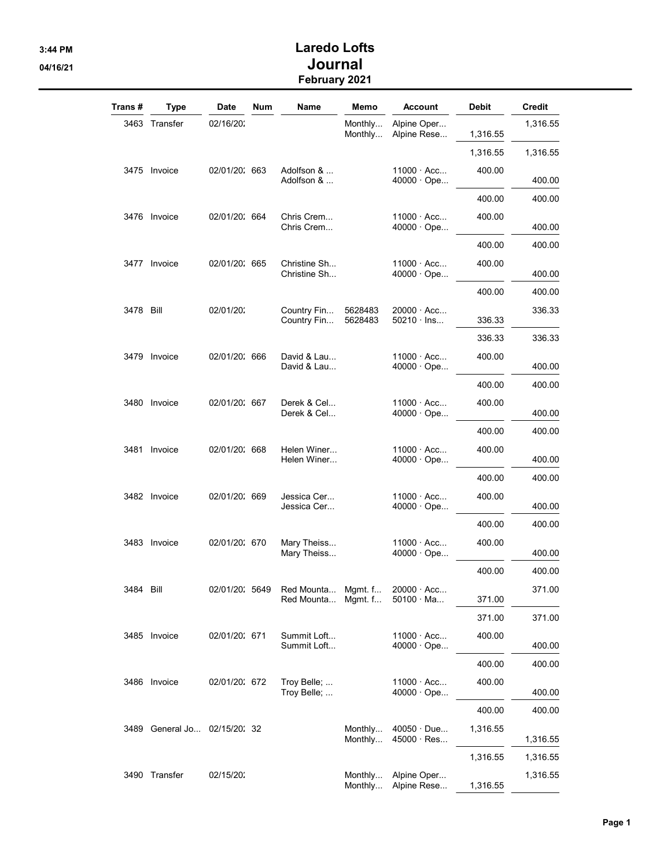## 3:44 PM Laredo Lofts 04/16/21 **Journal** February 2021

| Trans #   | <b>Type</b>   | Date                         | Num | Name                         | Memo               | Account                                | Debit    | Credit   |
|-----------|---------------|------------------------------|-----|------------------------------|--------------------|----------------------------------------|----------|----------|
|           | 3463 Transfer | 02/16/20:                    |     |                              | Monthly<br>Monthly | Alpine Oper<br>Alpine Rese             | 1,316.55 | 1.316.55 |
|           |               |                              |     |                              |                    |                                        | 1,316.55 | 1,316.55 |
|           | 3475 Invoice  | 02/01/20: 663                |     | Adolfson &<br>Adolfson &     |                    | $11000 \cdot Acc$<br>$40000 \cdot$ Ope | 400.00   | 400.00   |
|           |               |                              |     |                              |                    |                                        | 400.00   | 400.00   |
|           | 3476 Invoice  | 02/01/20: 664                |     | Chris Crem<br>Chris Crem     |                    | $11000 \cdot Acc$<br>$40000 \cdot$ Ope | 400.00   | 400.00   |
|           |               |                              |     |                              |                    |                                        | 400.00   | 400.00   |
|           | 3477 Invoice  | 02/01/20: 665                |     | Christine Sh<br>Christine Sh |                    | $11000 \cdot Acc$<br>$40000 \cdot$ Ope | 400.00   | 400.00   |
|           |               |                              |     |                              |                    |                                        | 400.00   | 400.00   |
| 3478 Bill |               | 02/01/20:                    |     | Country Fin<br>Country Fin   | 5628483<br>5628483 | 20000 · Acc<br>$50210 \cdot$ lns       | 336.33   | 336.33   |
|           |               |                              |     |                              |                    |                                        | 336.33   | 336.33   |
|           | 3479 Invoice  | 02/01/20: 666                |     | David & Lau<br>David & Lau   |                    | $11000 \cdot Acc$<br>$40000 \cdot$ Ope | 400.00   | 400.00   |
|           |               |                              |     |                              |                    |                                        | 400.00   | 400.00   |
|           | 3480 Invoice  | 02/01/20: 667                |     | Derek & Cel<br>Derek & Cel   |                    | $11000 \cdot Acc$<br>$40000 \cdot$ Ope | 400.00   | 400.00   |
|           |               |                              |     |                              |                    |                                        | 400.00   | 400.00   |
| 3481      | Invoice       | 02/01/20: 668                |     | Helen Winer<br>Helen Winer   |                    | $11000 \cdot Acc$<br>$40000 \cdot$ Ope | 400.00   | 400.00   |
|           |               |                              |     |                              |                    |                                        | 400.00   | 400.00   |
|           | 3482 Invoice  | 02/01/20: 669                |     | Jessica Cer…<br>Jessica Cer  |                    | $11000 \cdot Acc$<br>$40000 \cdot$ Ope | 400.00   | 400.00   |
|           |               |                              |     |                              |                    |                                        | 400.00   | 400.00   |
|           | 3483 Invoice  | 02/01/20: 670                |     | Mary Theiss<br>Mary Theiss   |                    | $11000 \cdot Acc$<br>$40000 \cdot$ Ope | 400.00   | 400.00   |
|           |               |                              |     |                              |                    |                                        | 400.00   | 400.00   |
| 3484 Bill |               | 02/01/20: 5649               |     | Red Mounta<br>Red Mounta     | Mgmt. f<br>Mgmt. f | $20000 \cdot Acc$<br>$50100 \cdot Ma$  | 371.00   | 371.00   |
|           |               |                              |     |                              |                    |                                        | 371.00   | 371.00   |
|           | 3485 Invoice  | 02/01/20: 671                |     | Summit Loft<br>Summit Loft   |                    | $11000 \cdot Acc$<br>$40000 \cdot$ Ope | 400.00   | 400.00   |
|           |               |                              |     |                              |                    |                                        | 400.00   | 400.00   |
|           | 3486 Invoice  | 02/01/20: 672                |     | Troy Belle;<br>Troy Belle;   |                    | $11000 \cdot Acc$<br>40000 · Ope       | 400.00   | 400.00   |
|           |               |                              |     |                              |                    |                                        | 400.00   | 400.00   |
|           |               | 3489 General Jo 02/15/20: 32 |     |                              | Monthly<br>Monthly | $40050 \cdot Due$<br>$45000 \cdot Res$ | 1,316.55 | 1,316.55 |
|           |               |                              |     |                              |                    |                                        | 1,316.55 | 1,316.55 |
|           | 3490 Transfer | 02/15/20:                    |     |                              | Monthly<br>Monthly | Alpine Oper<br>Alpine Rese             | 1,316.55 | 1,316.55 |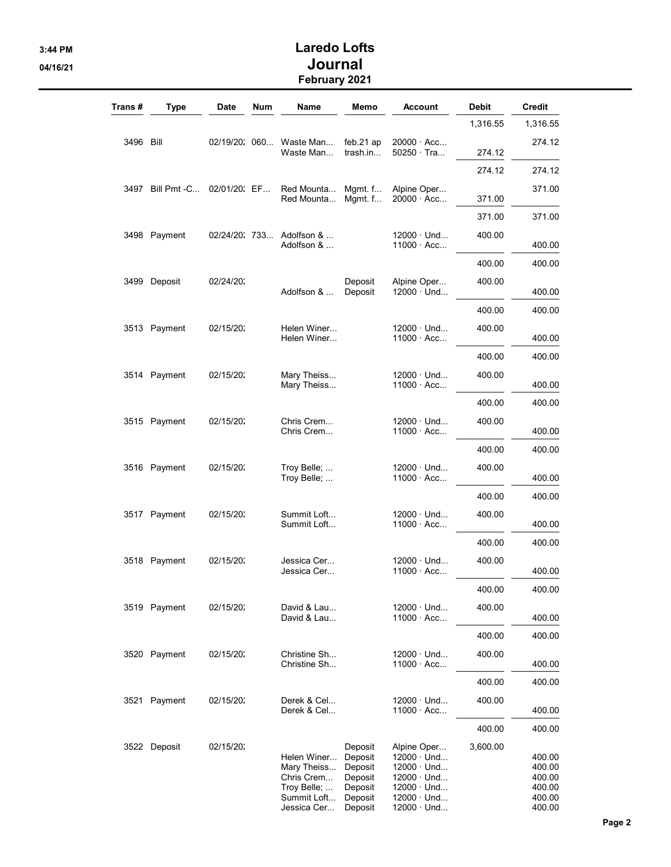## 3:44 PM Laredo Lofts 04/16/21 **Journal** February 2021

| Trans #   | Type             | <b>Date</b>   | <b>Num</b> | Name                                                                                  | Memo                                                                      | Account                                                                                                                                   | <b>Debit</b> | Credit                                                   |
|-----------|------------------|---------------|------------|---------------------------------------------------------------------------------------|---------------------------------------------------------------------------|-------------------------------------------------------------------------------------------------------------------------------------------|--------------|----------------------------------------------------------|
|           |                  |               |            |                                                                                       |                                                                           |                                                                                                                                           | 1,316.55     | 1,316.55                                                 |
| 3496 Bill |                  |               |            | 02/19/20: 060 Waste Man<br>Waste Man                                                  | feb.21 ap<br>trash.in                                                     | $20000 \cdot Acc$<br>50250 Tra                                                                                                            | 274.12       | 274.12                                                   |
|           |                  |               |            |                                                                                       |                                                                           |                                                                                                                                           | 274.12       | 274.12                                                   |
|           | 3497 Bill Pmt -C | 02/01/20: EF  |            | Red Mounta<br>Red Mounta                                                              | Mgmt. $f$<br>Mgmt. $f$                                                    | Alpine Oper<br>$20000 \cdot Acc$                                                                                                          | 371.00       | 371.00                                                   |
|           |                  |               |            |                                                                                       |                                                                           |                                                                                                                                           | 371.00       | 371.00                                                   |
|           | 3498 Payment     | 02/24/20: 733 |            | Adolfson &<br>Adolfson &                                                              |                                                                           | $12000 \cdot$ Und<br>$11000 \cdot Acc$                                                                                                    | 400.00       | 400.00                                                   |
|           |                  |               |            |                                                                                       |                                                                           |                                                                                                                                           | 400.00       | 400.00                                                   |
|           | 3499 Deposit     | 02/24/20:     |            | Adolfson &                                                                            | Deposit<br>Deposit                                                        | Alpine Oper<br>$12000 \cdot$ Und                                                                                                          | 400.00       | 400.00                                                   |
|           |                  |               |            |                                                                                       |                                                                           |                                                                                                                                           | 400.00       | 400.00                                                   |
|           | 3513 Payment     | 02/15/20:     |            | Helen Winer<br>Helen Winer                                                            |                                                                           | $12000 \cdot$ Und<br>$11000 \cdot Acc$                                                                                                    | 400.00       | 400.00                                                   |
|           |                  |               |            |                                                                                       |                                                                           |                                                                                                                                           | 400.00       | 400.00                                                   |
|           | 3514 Payment     | 02/15/20:     |            | Mary Theiss<br>Mary Theiss                                                            |                                                                           | $12000 \cdot$ Und<br>$11000 \cdot Acc$                                                                                                    | 400.00       | 400.00                                                   |
|           |                  |               |            |                                                                                       |                                                                           |                                                                                                                                           | 400.00       | 400.00                                                   |
|           | 3515 Payment     | 02/15/20:     |            | Chris Crem<br>Chris Crem                                                              |                                                                           | $12000 \cdot$ Und<br>$11000 \cdot Acc$                                                                                                    | 400.00       | 400.00                                                   |
|           |                  |               |            |                                                                                       |                                                                           |                                                                                                                                           | 400.00       | 400.00                                                   |
|           | 3516 Payment     | 02/15/20:     |            | Troy Belle;<br>Troy Belle;                                                            |                                                                           | $12000 \cdot$ Und<br>$11000 \cdot Acc$                                                                                                    | 400.00       | 400.00                                                   |
|           |                  |               |            |                                                                                       |                                                                           |                                                                                                                                           | 400.00       | 400.00                                                   |
|           | 3517 Payment     | 02/15/20:     |            | Summit Loft<br>Summit Loft                                                            |                                                                           | $12000 \cdot$ Und<br>$11000 \cdot Acc$                                                                                                    | 400.00       | 400.00                                                   |
|           |                  |               |            |                                                                                       |                                                                           |                                                                                                                                           | 400.00       | 400.00                                                   |
|           | 3518 Payment     | 02/15/20:     |            | Jessica Cer<br>Jessica Cer                                                            |                                                                           | $12000 \cdot$ Und<br>$11000 \cdot Acc$                                                                                                    | 400.00       | 400.00                                                   |
|           |                  |               |            |                                                                                       |                                                                           |                                                                                                                                           | 400.00       | 400.00                                                   |
|           | 3519 Payment     | 02/15/20:     |            | David & Lau<br>David & Lau                                                            |                                                                           | $12000 \cdot$ Und<br>$11000 \cdot Acc$                                                                                                    | 400.00       | 400.00                                                   |
|           |                  |               |            |                                                                                       |                                                                           |                                                                                                                                           | 400.00       | 400.00                                                   |
|           | 3520 Payment     | 02/15/20:     |            | Christine Sh<br>Christine Sh                                                          |                                                                           | $12000 \cdot$ Und<br>$11000 \cdot Acc$                                                                                                    | 400.00       | 400.00                                                   |
|           |                  |               |            |                                                                                       |                                                                           |                                                                                                                                           | 400.00       | 400.00                                                   |
|           | 3521 Payment     | 02/15/20:     |            | Derek & Cel<br>Derek & Cel                                                            |                                                                           | $12000 \cdot$ Und<br>$11000 \cdot Acc$                                                                                                    | 400.00       | 400.00                                                   |
|           |                  |               |            |                                                                                       |                                                                           |                                                                                                                                           | 400.00       | 400.00                                                   |
|           | 3522 Deposit     | 02/15/20:     |            | Helen Winer<br>Mary Theiss<br>Chris Crem<br>Troy Belle;<br>Summit Loft<br>Jessica Cer | Deposit<br>Deposit<br>Deposit<br>Deposit<br>Deposit<br>Deposit<br>Deposit | Alpine Oper<br>$12000 \cdot$ Und<br>$12000 \cdot$ Und<br>$12000 \cdot$ Und<br>$12000 \cdot$ Und<br>$12000 \cdot$ Und<br>$12000 \cdot$ Und | 3,600.00     | 400.00<br>400.00<br>400.00<br>400.00<br>400.00<br>400.00 |